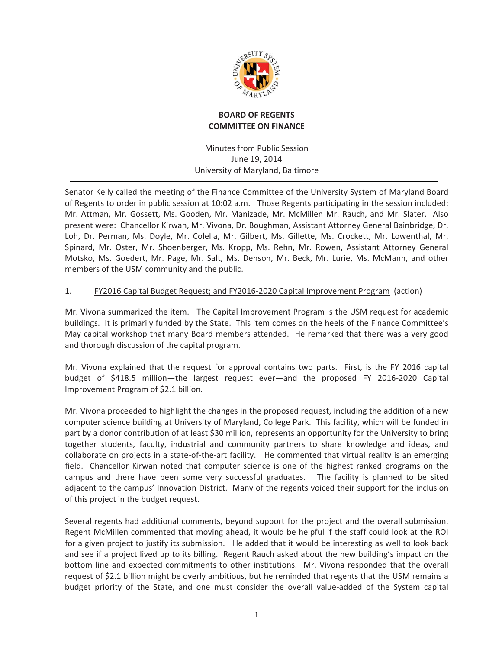

## **BOARD OF REGENTS COMMITTEE ON FINANCE**

Minutes from Public Session June 19, 2014 University of Maryland, Baltimore

Senator Kelly called the meeting of the Finance Committee of the University System of Maryland Board of Regents to order in public session at 10:02 a.m. Those Regents participating in the session included: Mr. Attman, Mr. Gossett, Ms. Gooden, Mr. Manizade, Mr. McMillen Mr. Rauch, and Mr. Slater. Also present were: Chancellor Kirwan, Mr. Vivona, Dr. Boughman, Assistant Attorney General Bainbridge, Dr. Loh, Dr. Perman, Ms. Doyle, Mr. Colella, Mr. Gilbert, Ms. Gillette, Ms. Crockett, Mr. Lowenthal, Mr. Spinard, Mr. Oster, Mr. Shoenberger, Ms. Kropp, Ms. Rehn, Mr. Rowen, Assistant Attorney General Motsko, Ms. Goedert, Mr. Page, Mr. Salt, Ms. Denson, Mr. Beck, Mr. Lurie, Ms. McMann, and other members of the USM community and the public.

#### 1. FY2016 Capital Budget Request; and FY2016-2020 Capital Improvement Program (action)

Mr. Vivona summarized the item. The Capital Improvement Program is the USM request for academic buildings. It is primarily funded by the State. This item comes on the heels of the Finance Committee's May capital workshop that many Board members attended. He remarked that there was a very good and thorough discussion of the capital program.

Mr. Vivona explained that the request for approval contains two parts. First, is the FY 2016 capital budget of \$418.5 million—the largest request ever—and the proposed FY 2016-2020 Capital Improvement Program of \$2.1 billion.

Mr. Vivona proceeded to highlight the changes in the proposed request, including the addition of a new computer science building at University of Maryland, College Park. This facility, which will be funded in part by a donor contribution of at least \$30 million, represents an opportunity for the University to bring together students, faculty, industrial and community partners to share knowledge and ideas, and collaborate on projects in a state-of-the-art facility. He commented that virtual reality is an emerging field. Chancellor Kirwan noted that computer science is one of the highest ranked programs on the campus and there have been some very successful graduates. The facility is planned to be sited adjacent to the campus' Innovation District. Many of the regents voiced their support for the inclusion of this project in the budget request.

Several regents had additional comments, beyond support for the project and the overall submission. Regent McMillen commented that moving ahead, it would be helpful if the staff could look at the ROI for a given project to justify its submission. He added that it would be interesting as well to look back and see if a project lived up to its billing. Regent Rauch asked about the new building's impact on the bottom line and expected commitments to other institutions. Mr. Vivona responded that the overall request of \$2.1 billion might be overly ambitious, but he reminded that regents that the USM remains a budget priority of the State, and one must consider the overall value-added of the System capital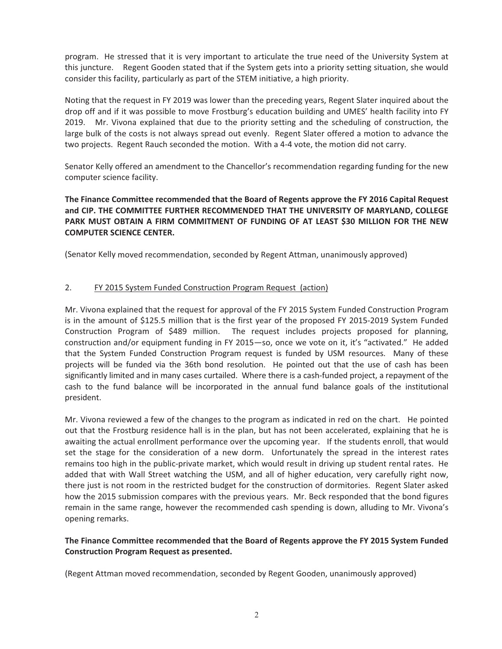program. He stressed that it is very important to articulate the true need of the University System at this juncture. Regent Gooden stated that if the System gets into a priority setting situation, she would consider this facility, particularly as part of the STEM initiative, a high priority.

Noting that the request in FY 2019 was lower than the preceding years, Regent Slater inquired about the drop off and if it was possible to move Frostburg's education building and UMES' health facility into FY 2019. Mr. Vivona explained that due to the priority setting and the scheduling of construction, the large bulk of the costs is not always spread out evenly. Regent Slater offered a motion to advance the two projects. Regent Rauch seconded the motion. With a 4-4 vote, the motion did not carry.

Senator Kelly offered an amendment to the Chancellor's recommendation regarding funding for the new computer science facility.

**The Finance Committee recommended that the Board of Regents approve the FY 2016 Capital Request** and CIP. THE COMMITTEE FURTHER RECOMMENDED THAT THE UNIVERSITY OF MARYLAND, COLLEGE **PARK MUST OBTAIN A FIRM COMMITMENT OF FUNDING OF AT LEAST \$30 MILLION FOR THE NEW COMPUTER SCIENCE CENTER.** 

(Senator Kelly moved recommendation, seconded by Regent Attman, unanimously approved)

#### 2. FY 2015 System Funded Construction Program Request (action)

Mr. Vivona explained that the request for approval of the FY 2015 System Funded Construction Program is in the amount of \$125.5 million that is the first year of the proposed FY 2015-2019 System Funded Construction Program of \$489 million. The request includes projects proposed for planning, construction and/or equipment funding in FY 2015-so, once we vote on it, it's "activated." He added that the System Funded Construction Program request is funded by USM resources. Many of these projects will be funded via the 36th bond resolution. He pointed out that the use of cash has been significantly limited and in many cases curtailed. Where there is a cash-funded project, a repayment of the cash to the fund balance will be incorporated in the annual fund balance goals of the institutional president.

Mr. Vivona reviewed a few of the changes to the program as indicated in red on the chart. He pointed out that the Frostburg residence hall is in the plan, but has not been accelerated, explaining that he is awaiting the actual enrollment performance over the upcoming year. If the students enroll, that would set the stage for the consideration of a new dorm. Unfortunately the spread in the interest rates remains too high in the public-private market, which would result in driving up student rental rates. He added that with Wall Street watching the USM, and all of higher education, very carefully right now, there just is not room in the restricted budget for the construction of dormitories. Regent Slater asked how the 2015 submission compares with the previous years. Mr. Beck responded that the bond figures remain in the same range, however the recommended cash spending is down, alluding to Mr. Vivona's opening remarks.

## **The Finance Committee recommended that the Board of Regents approve the FY 2015 System Funded Construction-Program-Request-as-presented.-**

(Regent Attman moved recommendation, seconded by Regent Gooden, unanimously approved)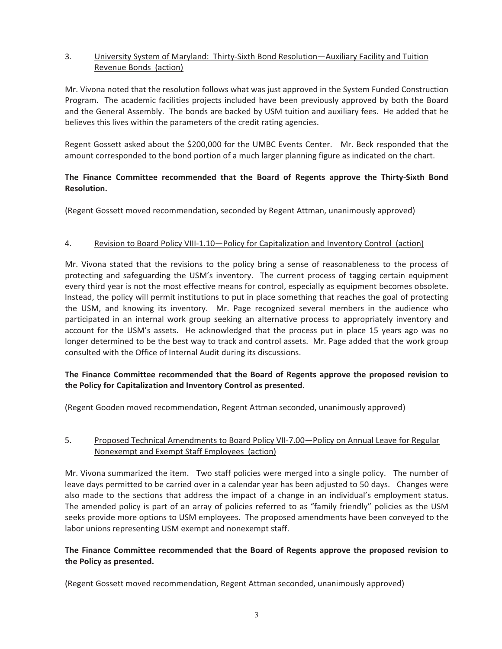## 3. University System of Maryland: Thirty-Sixth Bond Resolution—Auxiliary Facility and Tuition Revenue Bonds (action)

Mr. Vivona noted that the resolution follows what was just approved in the System Funded Construction Program. The academic facilities projects included have been previously approved by both the Board and the General Assembly. The bonds are backed by USM tuition and auxiliary fees. He added that he believes this lives within the parameters of the credit rating agencies.

Regent Gossett asked about the \$200,000 for the UMBC Events Center. Mr. Beck responded that the amount corresponded to the bond portion of a much larger planning figure as indicated on the chart.

## The Finance Committee recommended that the Board of Regents approve the Thirty-Sixth Bond **Resolution.-**

(Regent Gossett moved recommendation, seconded by Regent Attman, unanimously approved)

#### 4. Revision to Board Policy VIII-1.10-Policy for Capitalization and Inventory Control (action)

Mr. Vivona stated that the revisions to the policy bring a sense of reasonableness to the process of protecting and safeguarding the USM's inventory. The current process of tagging certain equipment every third year is not the most effective means for control, especially as equipment becomes obsolete. Instead, the policy will permit institutions to put in place something that reaches the goal of protecting the USM, and knowing its inventory. Mr. Page recognized several members in the audience who participated in an internal work group seeking an alternative process to appropriately inventory and account for the USM's assets. He acknowledged that the process put in place 15 years ago was no longer determined to be the best way to track and control assets. Mr. Page added that the work group consulted with the Office of Internal Audit during its discussions.

# **The Finance Committee recommended that the Board of Regents approve the proposed revision to the Policy for Capitalization and Inventory Control as presented.**

(Regent Gooden moved recommendation, Regent Attman seconded, unanimously approved)

# 5. Proposed Technical Amendments to Board Policy VII-7.00-Policy on Annual Leave for Regular Nonexempt and Exempt Staff Employees (action)

Mr. Vivona summarized the item. Two staff policies were merged into a single policy. The number of leave days permitted to be carried over in a calendar year has been adjusted to 50 days. Changes were also made to the sections that address the impact of a change in an individual's employment status. The amended policy is part of an array of policies referred to as "family friendly" policies as the USM seeks provide more options to USM employees. The proposed amendments have been conveyed to the labor unions representing USM exempt and nonexempt staff.

# **The Finance Committee recommended that the Board of Regents approve the proposed revision to the-Policy-as-presented.-**

(Regent Gossett moved recommendation, Regent Attman seconded, unanimously approved)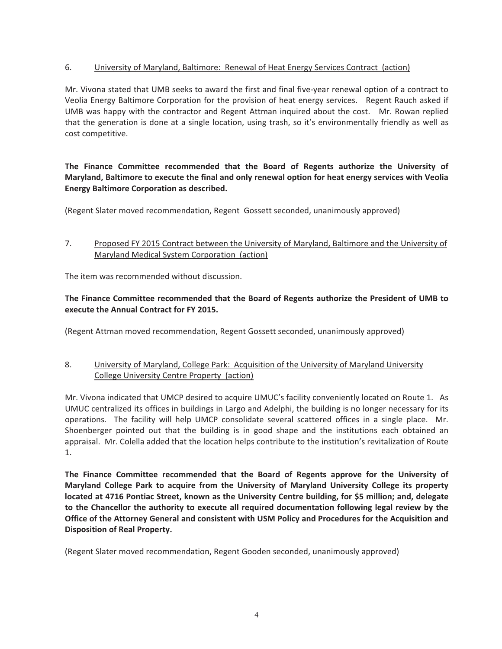# 6. University of Maryland, Baltimore: Renewal of Heat Energy Services Contract (action)

Mr. Vivona stated that UMB seeks to award the first and final five-year renewal option of a contract to Veolia Energy Baltimore Corporation for the provision of heat energy services. Regent Rauch asked if UMB was happy with the contractor and Regent Attman inquired about the cost. Mr. Rowan replied that the generation is done at a single location, using trash, so it's environmentally friendly as well as cost competitive.

# The Finance Committee recommended that the Board of Regents authorize the University of Maryland, Baltimore to execute the final and only renewal option for heat energy services with Veolia **Energy Baltimore Corporation as described.**

(Regent Slater moved recommendation, Regent Gossett seconded, unanimously approved)

## 7. Proposed FY 2015 Contract between the University of Maryland, Baltimore and the University of Maryland Medical System Corporation (action)

The item was recommended without discussion.

# **The Finance Committee recommended that the Board of Regents authorize the President of UMB to execute the Annual Contract for FY 2015.**

(Regent Attman moved recommendation, Regent Gossett seconded, unanimously approved)

#### 8. University of Maryland, College Park: Acquisition of the University of Maryland University College University Centre Property (action)

Mr. Vivona indicated that UMCP desired to acquire UMUC's facility conveniently located on Route 1. As UMUC centralized its offices in buildings in Largo and Adelphi, the building is no longer necessary for its operations. The facility will help UMCP consolidate several scattered offices in a single place. Mr. Shoenberger pointed out that the building is in good shape and the institutions each obtained an appraisal. Mr. Colella added that the location helps contribute to the institution's revitalization of Route 1.-

The Finance Committee recommended that the Board of Regents approve for the University of Maryland College Park to acquire from the University of Maryland University College its property located at 4716 Pontiac Street, known as the University Centre building, for \$5 million; and, delegate to the Chancellor the authority to execute all required documentation following legal review by the Office of the Attorney General and consistent with USM Policy and Procedures for the Acquisition and **Disposition of Real Property.** 

(Regent Slater moved recommendation, Regent Gooden seconded, unanimously approved)